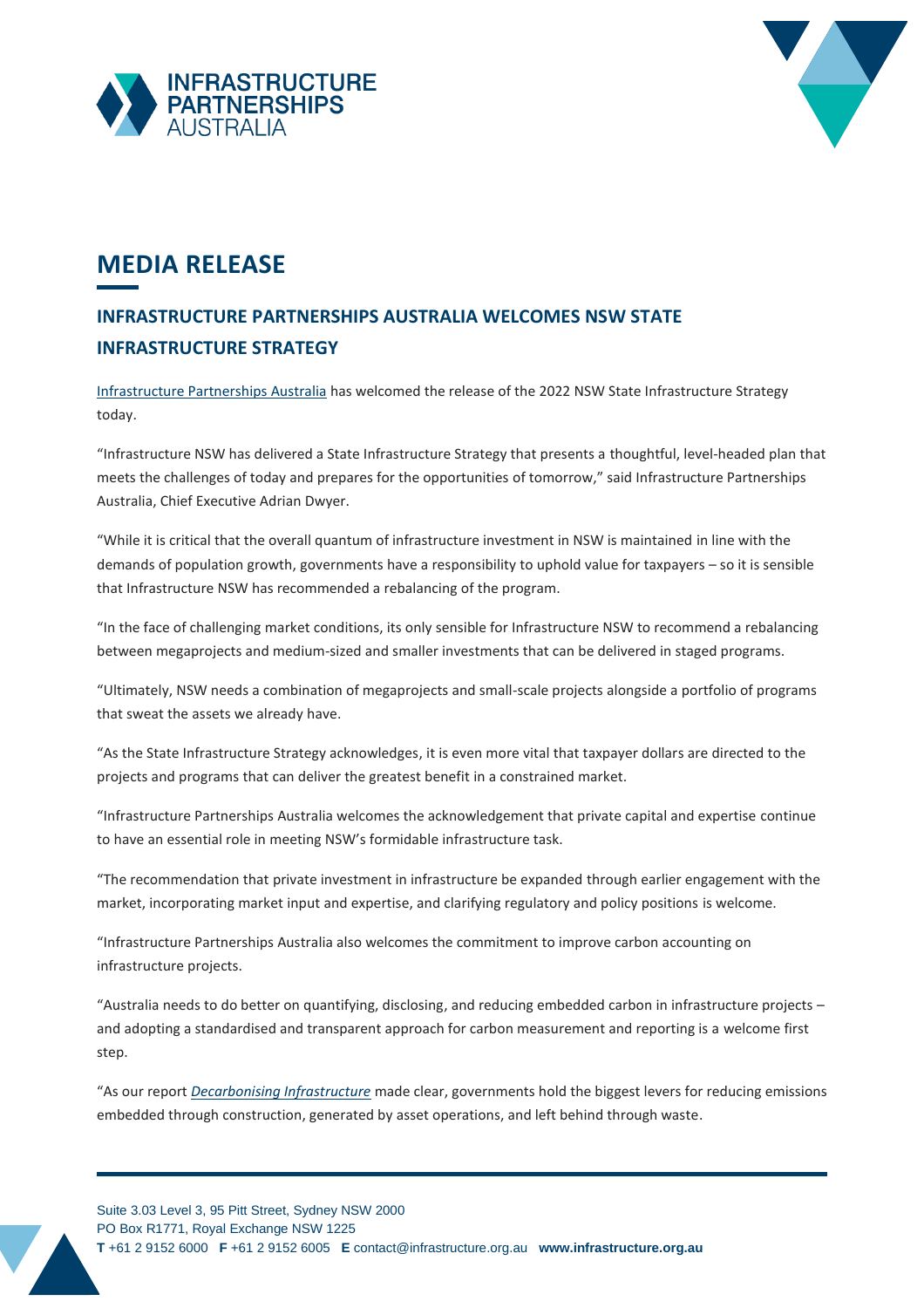



## **MEDIA RELEASE**

## **INFRASTRUCTURE PARTNERSHIPS AUSTRALIA WELCOMES NSW STATE INFRASTRUCTURE STRATEGY**

[Infrastructure Partnerships Australia](http://infrastructure.org.au/) has welcomed the release of the 2022 NSW State Infrastructure Strategy today.

"Infrastructure NSW has delivered a State Infrastructure Strategy that presents a thoughtful, level-headed plan that meets the challenges of today and prepares for the opportunities of tomorrow," said Infrastructure Partnerships Australia, Chief Executive Adrian Dwyer.

"While it is critical that the overall quantum of infrastructure investment in NSW is maintained in line with the demands of population growth, governments have a responsibility to uphold value for taxpayers – so it is sensible that Infrastructure NSW has recommended a rebalancing of the program.

"In the face of challenging market conditions, its only sensible for Infrastructure NSW to recommend a rebalancing between megaprojects and medium-sized and smaller investments that can be delivered in staged programs.

"Ultimately, NSW needs a combination of megaprojects and small-scale projects alongside a portfolio of programs that sweat the assets we already have.

"As the State Infrastructure Strategy acknowledges, it is even more vital that taxpayer dollars are directed to the projects and programs that can deliver the greatest benefit in a constrained market.

"Infrastructure Partnerships Australia welcomes the acknowledgement that private capital and expertise continue to have an essential role in meeting NSW's formidable infrastructure task.

"The recommendation that private investment in infrastructure be expanded through earlier engagement with the market, incorporating market input and expertise, and clarifying regulatory and policy positions is welcome.

"Infrastructure Partnerships Australia also welcomes the commitment to improve carbon accounting on infrastructure projects.

"Australia needs to do better on quantifying, disclosing, and reducing embedded carbon in infrastructure projects – and adopting a standardised and transparent approach for carbon measurement and reporting is a welcome first step.

"As our report *[Decarbonising Infrastructure](https://infrastructure.org.au/decarbonising-infrastructure/)* made clear, governments hold the biggest levers for reducing emissions embedded through construction, generated by asset operations, and left behind through waste.